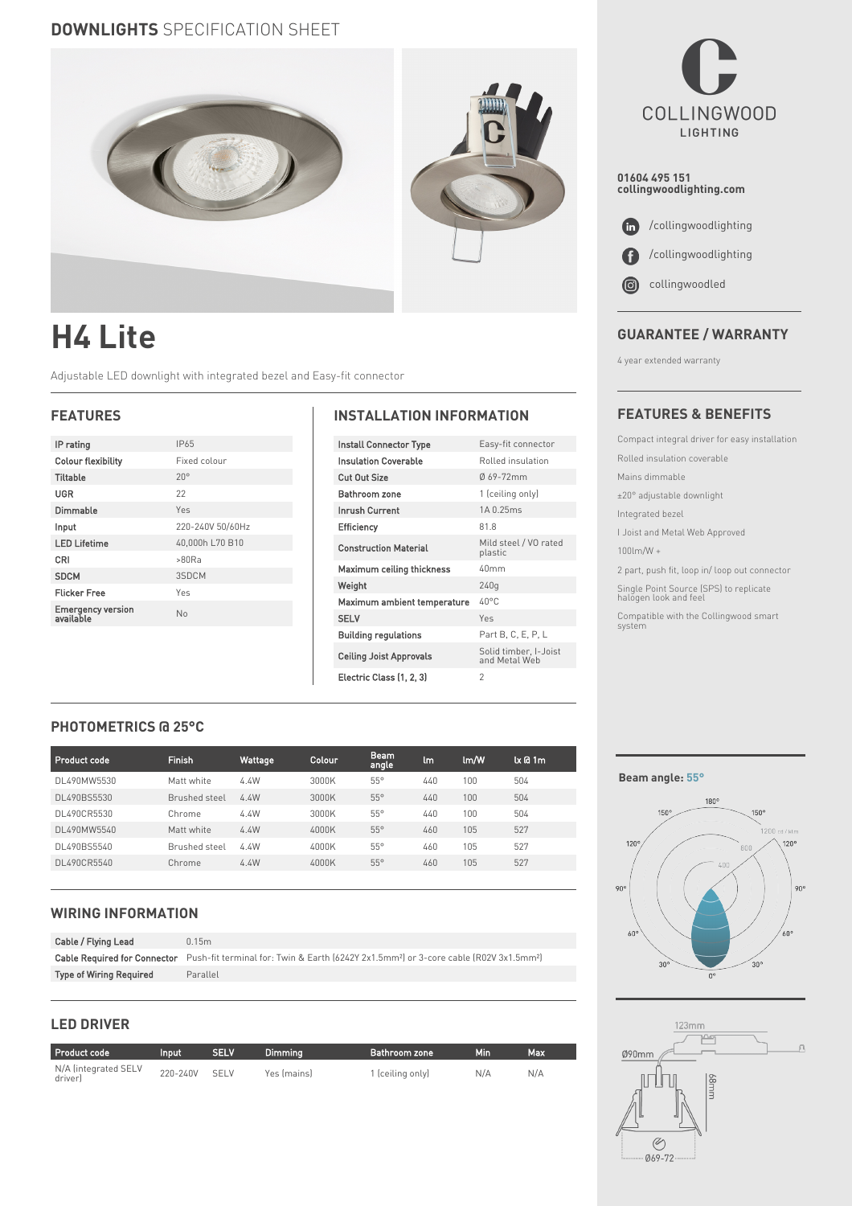# **DOWNLIGHTS** SPECIFICATION SHEET



# **H4 Lite**

Adjustable LED downlight with integrated bezel and Easy-fit connector

| IP rating                      | IP65             |
|--------------------------------|------------------|
| <b>Colour flexibility</b>      | Fixed colour     |
| <b>Tiltable</b>                | $20^{\circ}$     |
| UGR                            | 22               |
| Dimmable                       | Yes              |
| Input                          | 220-240V 50/60Hz |
| <b>LED Lifetime</b>            | 40,000h L70 B10  |
| CRI                            | >80Ra            |
| <b>SDCM</b>                    | 3SDCM            |
| <b>Flicker Free</b>            | Yes              |
| Emergency version<br>available | No               |
|                                |                  |

#### **FEATURES INSTALLATION INFORMATION**

| Install Connector Type         | Easy-fit connector                     |
|--------------------------------|----------------------------------------|
| <b>Insulation Coverable</b>    | Rolled insulation                      |
| <b>Cut Out Size</b>            | Ø69-72mm                               |
| Bathroom zone                  | 1 (ceiling only)                       |
| <b>Inrush Current</b>          | 14 0 25ms                              |
| Efficiency                     | 81.8                                   |
| <b>Construction Material</b>   | Mild steel / VO rated<br>plastic       |
| Maximum ceiling thickness      | 40mm                                   |
| Weight                         | 240q                                   |
| Maximum ambient temperature    | $40^{\circ}$ C                         |
| <b>SELV</b>                    | Yes                                    |
| <b>Building regulations</b>    | Part B, C, E, P, L                     |
| <b>Ceiling Joist Approvals</b> | Solid timber, I-Joist<br>and Metal Web |
| Electric Class (1, 2, 3)       | $\mathfrak{D}$                         |

**COLLINGWOOD** LIGHTING

**01604 495 151 collingwoodlighting.com**

 $\bullet$  /collingwoodlighting /collingwoodlighting O

 collingwoodled  $\odot$ 

### **GUARANTEE / WARRANTY**

4 year extended warranty

#### **FEATURES & BENEFITS**

Compact integral driver for easy installation Rolled insulation coverable Mains dimmable ±20° adjustable downlight Integrated bezel I Joist and Metal Web Approved 100lm/W + 2 part, push fit, loop in/ loop out connector Single Point Source (SPS) to replicate halogen look and feel Compatible with the Collingwood smart system

## **PHOTOMETRICS @ 25°C**

| <b>Product code</b> | <b>Finish</b> | Wattage | Colour | <b>Beam</b><br>angle | lm  | lm/W | $k$ $a$ 1 $m$ |
|---------------------|---------------|---------|--------|----------------------|-----|------|---------------|
| DL490MW5530         | Matt white    | 4.4W    | 3000K  | $55^\circ$           | 440 | 100  | 504           |
| DL490BS5530         | Brushed steel | 4.4W    | 3000K  | $55^\circ$           | 440 | 100  | 504           |
| DL490CR5530         | Chrome        | 4.4W    | 3000K  | $55^\circ$           | 440 | 100  | 504           |
| DL490MW5540         | Matt white    | 4.4W    | 4000K  | $55^\circ$           | 460 | 105  | 527           |
| DL490BS5540         | Brushed steel | 4.4W    | 4000K  | $55^\circ$           | 460 | 105  | 527           |
| DL490CR5540         | Chrome        | 4.4W    | 4000K  | $55^\circ$           | 460 | 105  | 527           |

#### **WIRING INFORMATION**

| Cable / Flying Lead            | 0.15m                                                                                                                                       |
|--------------------------------|---------------------------------------------------------------------------------------------------------------------------------------------|
|                                | Cable Required for Connector Push-fit terminal for: Twin & Earth (6242Y 2x1.5mm <sup>2</sup> ) or 3-core cable (R02V 3x1.5mm <sup>2</sup> ) |
| <b>Type of Wiring Required</b> | Parallel                                                                                                                                    |

#### **LED DRIVER**

| <b>Product code</b>             | Input    | <b>SELV</b> | Dimmina     | Bathroom zone    | Min | Max |
|---------------------------------|----------|-------------|-------------|------------------|-----|-----|
| N/A (integrated SELV<br>driver) | 220-240V | <b>SELV</b> | Yes (mains) | 1 (ceiling only) | N/A | N/A |